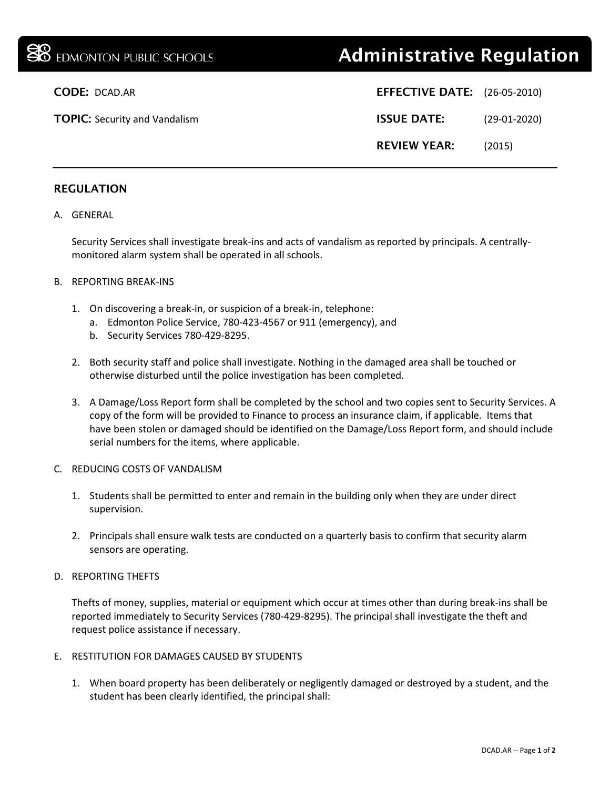# **38** EDMONTON PUBLIC SCHOOLS **Administrative Regulation**

| <b>CODE: DCAD.AR</b>                 | <b>EFFECTIVE DATE:</b> (26-05-2010) |                |
|--------------------------------------|-------------------------------------|----------------|
| <b>TOPIC:</b> Security and Vandalism | <b>ISSUE DATE:</b>                  | $(29-01-2020)$ |
|                                      | <b>REVIEW YEAR:</b>                 | (2015)         |

# REGULATION

### A. GENERAL

Security Services shall investigate break-ins and acts of vandalism as reported by principals. A centrallymonitored alarm system shall be operated in all schools.

#### B. REPORTING BREAK-INS

- 1. On discovering a break-in, or suspicion of a break-in, telephone:
	- a. Edmonton Police Service, 780-423-4567 or 911 (emergency), and
	- b. Security Services 780-429-8295.
- 2. Both security staff and police shall investigate. Nothing in the damaged area shall be touched or otherwise disturbed until the police investigation has been completed.
- 3. A Damage/Loss Report form shall be completed by the school and two copies sent to Security Services. A copy of the form will be provided to Finance to process an insurance claim, if applicable. Items that have been stolen or damaged should be identified on the Damage/Loss Report form, and should include serial numbers for the items, where applicable.

#### C. REDUCING COSTS OF VANDALISM

- 1. Students shall be permitted to enter and remain in the building only when they are under direct supervision.
- 2. Principals shall ensure walk tests are conducted on a quarterly basis to confirm that security alarm sensors are operating.

#### D. REPORTING THEFTS

Thefts of money, supplies, material or equipment which occur at times other than during break-ins shall be reported immediately to Security Services (780-429-8295). The principal shall investigate the theft and request police assistance if necessary.

#### E. RESTITUTION FOR DAMAGES CAUSED BY STUDENTS

1. When board property has been deliberately or negligently damaged or destroyed by a student, and the student has been clearly identified, the principal shall: